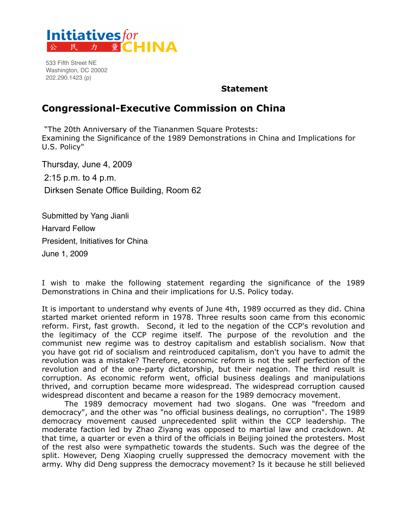

533 Fifth Street NE Washington, DC 20002 202.290.1423 (p)

#### **Statement**

#### **Congressional-Executive Commission on China**

 "The 20th Anniversary of the Tiananmen Square Protests: Examining the Significance of the 1989 Demonstrations in China and Implications for U.S. Policy"

Thursday, June 4, 2009 2:15 p.m. to 4 p.m. Dirksen Senate Office Building, Room 62

Submitted by Yang Jianli Harvard Fellow President, Initiatives for China June 1, 2009

I wish to make the following statement regarding the significance of the 1989 Demonstrations in China and their implications for U.S. Policy today.

It is important to understand why events of June 4th, 1989 occurred as they did. China started market oriented reform in 1978. Three results soon came from this economic reform. First, fast growth. Second, it led to the negation of the CCP's revolution and the legitimacy of the CCP regime itself. The purpose of the revolution and the communist new regime was to destroy capitalism and establish socialism. Now that you have got rid of socialism and reintroduced capitalism, don't you have to admit the revolution was a mistake? Therefore, economic reform is not the self perfection of the revolution and of the one-party dictatorship, but their negation. The third result is corruption. As economic reform went, official business dealings and manipulations thrived, and corruption became more widespread. The widespread corruption caused widespread discontent and became a reason for the 1989 democracy movement.

 The 1989 democracy movement had two slogans. One was "freedom and democracy", and the other was "no official business dealings, no corruption". The 1989 democracy movement caused unprecedented split within the CCP leadership. The moderate faction led by Zhao Ziyang was opposed to martial law and crackdown. At that time, a quarter or even a third of the officials in Beijing joined the protesters. Most of the rest also were sympathetic towards the students. Such was the degree of the split. However, Deng Xiaoping cruelly suppressed the democracy movement with the army. Why did Deng suppress the democracy movement? Is it because he still believed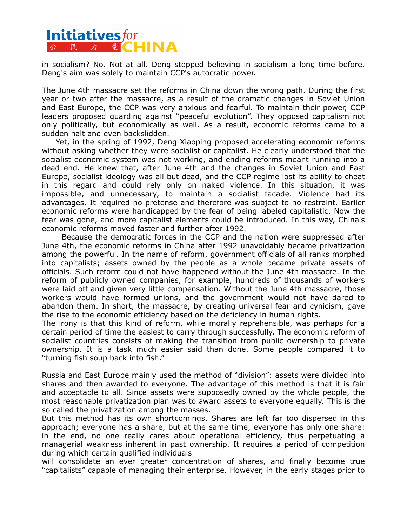# **Initiatives** for<br> **A A A E CHINA**

in socialism? No. Not at all. Deng stopped believing in socialism a long time before. Deng's aim was solely to maintain CCP's autocratic power.

The June 4th massacre set the reforms in China down the wrong path. During the first year or two after the massacre, as a result of the dramatic changes in Soviet Union and East Europe, the CCP was very anxious and fearful. To maintain their power, CCP leaders proposed guarding against "peaceful evolution". They opposed capitalism not only politically, but economically as well. As a result, economic reforms came to a sudden halt and even backslidden.

 Yet, in the spring of 1992, Deng Xiaoping proposed accelerating economic reforms without asking whether they were socialist or capitalist. He clearly understood that the socialist economic system was not working, and ending reforms meant running into a dead end. He knew that, after June 4th and the changes in Soviet Union and East Europe, socialist ideology was all but dead, and the CCP regime lost its ability to cheat in this regard and could rely only on naked violence. In this situation, it was impossible, and unnecessary, to maintain a socialist facade. Violence had its advantages. It required no pretense and therefore was subject to no restraint. Earlier economic reforms were handicapped by the fear of being labeled capitalistic. Now the fear was gone, and more capitalist elements could be introduced. In this way, China's economic reforms moved faster and further after 1992.

 Because the democratic forces in the CCP and the nation were suppressed after June 4th, the economic reforms in China after 1992 unavoidably became privatization among the powerful. In the name of reform, government officials of all ranks morphed into capitalists; assets owned by the people as a whole became private assets of officials. Such reform could not have happened without the June 4th massacre. In the reform of publicly owned companies, for example, hundreds of thousands of workers were laid off and given very little compensation. Without the June 4th massacre, those workers would have formed unions, and the government would not have dared to abandon them. In short, the massacre, by creating universal fear and cynicism, gave the rise to the economic efficiency based on the deficiency in human rights.

The irony is that this kind of reform, while morally reprehensible, was perhaps for a certain period of time the easiest to carry through successfully. The economic reform of socialist countries consists of making the transition from public ownership to private ownership. It is a task much easier said than done. Some people compared it to "turning fish soup back into fish."

Russia and East Europe mainly used the method of "division": assets were divided into shares and then awarded to everyone. The advantage of this method is that it is fair and acceptable to all. Since assets were supposedly owned by the whole people, the most reasonable privatization plan was to award assets to everyone equally. This is the so called the privatization among the masses.

But this method has its own shortcomings. Shares are left far too dispersed in this approach; everyone has a share, but at the same time, everyone has only one share: in the end, no one really cares about operational efficiency, thus perpetuating a managerial weakness inherent in past ownership. It requires a period of competition during which certain qualified individuals

will consolidate an ever greater concentration of shares, and finally become true "capitalists" capable of managing their enterprise. However, in the early stages prior to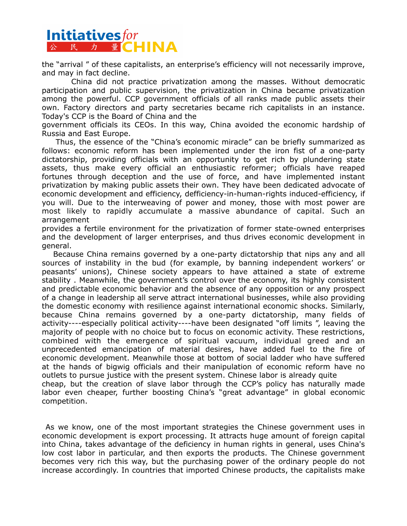# **Initiatives** for<br> **A A A E CHINA**

the "arrival " of these capitalists, an enterprise's efficiency will not necessarily improve, and may in fact decline.

 China did not practice privatization among the masses. Without democratic participation and public supervision, the privatization in China became privatization among the powerful. CCP government officials of all ranks made public assets their own. Factory directors and party secretaries became rich capitalists in an instance. Today's CCP is the Board of China and the

government officials its CEOs. In this way, China avoided the economic hardship of Russia and East Europe.

 Thus, the essence of the "China's economic miracle" can be briefly summarized as follows: economic reform has been implemented under the iron fist of a one-party dictatorship, providing officials with an opportunity to get rich by plundering state assets, thus make every official an enthusiastic reformer; officials have reaped fortunes through deception and the use of force, and have implemented instant privatization by making public assets their own. They have been dedicated advocate of economic development and efficiency, defficiency-in-human-rights induced-efficiency, if you will. Due to the interweaving of power and money, those with most power are most likely to rapidly accumulate a massive abundance of capital. Such an arrangement

provides a fertile environment for the privatization of former state-owned enterprises and the development of larger enterprises, and thus drives economic development in general.

 Because China remains governed by a one-party dictatorship that nips any and all sources of instability in the bud (for example, by banning independent workers' or peasants' unions), Chinese society appears to have attained a state of extreme stability . Meanwhile, the government's control over the economy, its highly consistent and predictable economic behavior and the absence of any opposition or any prospect of a change in leadership all serve attract international businesses, while also providing the domestic economy with resilience against international economic shocks. Similarly, because China remains governed by a one-party dictatorship, many fields of activity----especially political activity----have been designated "off limits ", leaving the majority of people with no choice but to focus on economic activity. These restrictions, combined with the emergence of spiritual vacuum, individual greed and an unprecedented emancipation of material desires, have added fuel to the fire of economic development. Meanwhile those at bottom of social ladder who have suffered at the hands of bigwig officials and their manipulation of economic reform have no outlets to pursue justice with the present system. Chinese labor is already quite cheap, but the creation of slave labor through the CCP's policy has naturally made labor even cheaper, further boosting China's "great advantage" in global economic competition.

 As we know, one of the most important strategies the Chinese government uses in economic development is export processing. It attracts huge amount of foreign capital into China, takes advantage of the deficiency in human rights in general, uses China's low cost labor in particular, and then exports the products. The Chinese government becomes very rich this way, but the purchasing power of the ordinary people do not increase accordingly. In countries that imported Chinese products, the capitalists make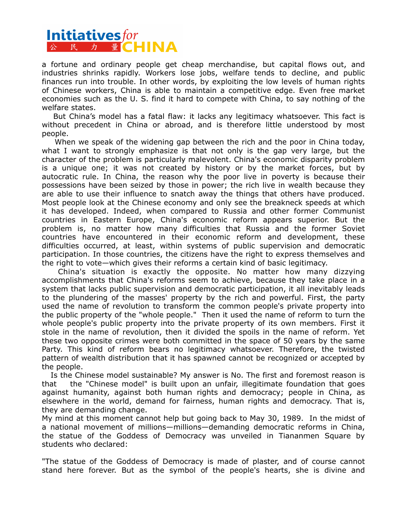### **Initiativesfor** 公民力量 ( - IN A

a fortune and ordinary people get cheap merchandise, but capital flows out, and industries shrinks rapidly. Workers lose jobs, welfare tends to decline, and public finances run into trouble. In other words, by exploiting the low levels of human rights of Chinese workers, China is able to maintain a competitive edge. Even free market economies such as the U. S. find it hard to compete with China, to say nothing of the welfare states.

 But China's model has a fatal flaw: it lacks any legitimacy whatsoever. This fact is without precedent in China or abroad, and is therefore little understood by most people.

 When we speak of the widening gap between the rich and the poor in China today, what I want to strongly emphasize is that not only is the gap very large, but the character of the problem is particularly malevolent. China's economic disparity problem is a unique one; it was not created by history or by the market forces, but by autocratic rule. In China, the reason why the poor live in poverty is because their possessions have been seized by those in power; the rich live in wealth because they are able to use their influence to snatch away the things that others have produced. Most people look at the Chinese economy and only see the breakneck speeds at which it has developed. Indeed, when compared to Russia and other former Communist countries in Eastern Europe, China's economic reform appears superior. But the problem is, no matter how many difficulties that Russia and the former Soviet countries have encountered in their economic reform and development, these difficulties occurred, at least, within systems of public supervision and democratic participation. In those countries, the citizens have the right to express themselves and the right to vote—which gives their reforms a certain kind of basic legitimacy.

 China's situation is exactly the opposite. No matter how many dizzying accomplishments that China's reforms seem to achieve, because they take place in a system that lacks public supervision and democratic participation, it all inevitably leads to the plundering of the masses' property by the rich and powerful. First, the party used the name of revolution to transform the common people's private property into the public property of the "whole people." Then it used the name of reform to turn the whole people's public property into the private property of its own members. First it stole in the name of revolution, then it divided the spoils in the name of reform. Yet these two opposite crimes were both committed in the space of 50 years by the same Party. This kind of reform bears no legitimacy whatsoever. Therefore, the twisted pattern of wealth distribution that it has spawned cannot be recognized or accepted by the people.

 Is the Chinese model sustainable? My answer is No. The first and foremost reason is that the "Chinese model" is built upon an unfair, illegitimate foundation that goes against humanity, against both human rights and democracy; people in China, as elsewhere in the world, demand for fairness, human rights and democracy. That is, they are demanding change.

My mind at this moment cannot help but going back to May 30, 1989. In the midst of a national movement of millions—millions—demanding democratic reforms in China, the statue of the Goddess of Democracy was unveiled in Tiananmen Square by students who declared:

"The statue of the Goddess of Democracy is made of plaster, and of course cannot stand here forever. But as the symbol of the people's hearts, she is divine and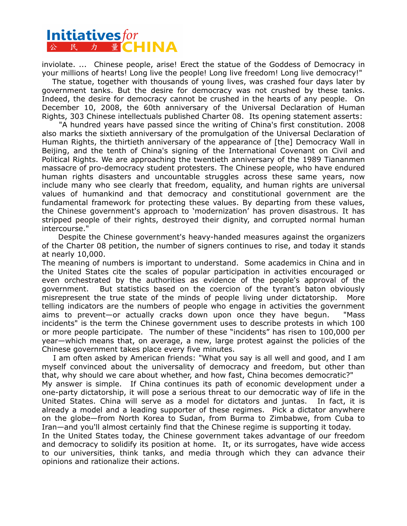# **Initiatives for<br>
A R A F CHINA**

inviolate. ... Chinese people, arise! Erect the statue of the Goddess of Democracy in your millions of hearts! Long live the people! Long live freedom! Long live democracy!"

 The statue, together with thousands of young lives, was crashed four days later by government tanks. But the desire for democracy was not crushed by these tanks. Indeed, the desire for democracy cannot be crushed in the hearts of any people. On December 10, 2008, the 60th anniversary of the Universal Declaration of Human Rights, 303 Chinese intellectuals published Charter 08. Its opening statement asserts:

 "A hundred years have passed since the writing of China's first constitution. 2008 also marks the sixtieth anniversary of the promulgation of the Universal Declaration of Human Rights, the thirtieth anniversary of the appearance of [the] Democracy Wall in Beijing, and the tenth of China's signing of the International Covenant on Civil and Political Rights. We are approaching the twentieth anniversary of the 1989 Tiananmen massacre of pro-democracy student protesters. The Chinese people, who have endured human rights disasters and uncountable struggles across these same years, now include many who see clearly that freedom, equality, and human rights are universal values of humankind and that democracy and constitutional government are the fundamental framework for protecting these values. By departing from these values, the Chinese government's approach to 'modernization' has proven disastrous. It has stripped people of their rights, destroyed their dignity, and corrupted normal human intercourse."

 Despite the Chinese government's heavy-handed measures against the organizers of the Charter 08 petition, the number of signers continues to rise, and today it stands at nearly 10,000.

The meaning of numbers is important to understand. Some academics in China and in the United States cite the scales of popular participation in activities encouraged or even orchestrated by the authorities as evidence of the people's approval of the government. But statistics based on the coercion of the tyrant's baton obviously misrepresent the true state of the minds of people living under dictatorship. More telling indicators are the numbers of people who engage in activities the government aims to prevent—or actually cracks down upon once they have begun. "Mass incidents" is the term the Chinese government uses to describe protests in which 100 or more people participate. The number of these "incidents" has risen to 100,000 per year—which means that, on average, a new, large protest against the policies of the Chinese government takes place every five minutes.

 I am often asked by American friends: "What you say is all well and good, and I am myself convinced about the universality of democracy and freedom, but other than that, why should we care about whether, and how fast, China becomes democratic?" My answer is simple. If China continues its path of economic development under a one-party dictatorship, it will pose a serious threat to our democratic way of life in the United States. China will serve as a model for dictators and juntas. In fact, it is already a model and a leading supporter of these regimes. Pick a dictator anywhere on the globe—from North Korea to Sudan, from Burma to Zimbabwe, from Cuba to Iran—and you'll almost certainly find that the Chinese regime is supporting it today.

In the United States today, the Chinese government takes advantage of our freedom and democracy to solidify its position at home. It, or its surrogates, have wide access to our universities, think tanks, and media through which they can advance their opinions and rationalize their actions.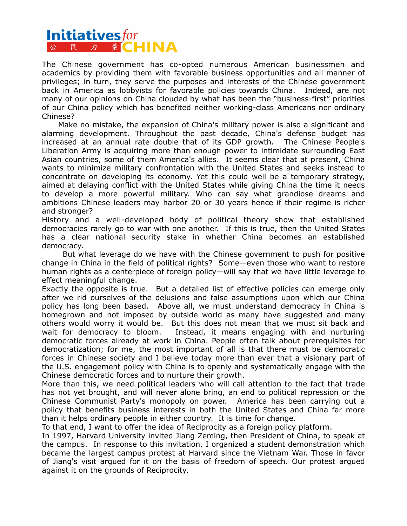## **Initiatives** for<br> **A A A E CHINA**

The Chinese government has co-opted numerous American businessmen and academics by providing them with favorable business opportunities and all manner of privileges; in turn, they serve the purposes and interests of the Chinese government back in America as lobbyists for favorable policies towards China. Indeed, are not many of our opinions on China clouded by what has been the "business-first" priorities of our China policy which has benefited neither working-class Americans nor ordinary Chinese?

 Make no mistake, the expansion of China's military power is also a significant and alarming development. Throughout the past decade, China's defense budget has increased at an annual rate double that of its GDP growth. The Chinese People's Liberation Army is acquiring more than enough power to intimidate surrounding East Asian countries, some of them America's allies. It seems clear that at present, China wants to minimize military confrontation with the United States and seeks instead to concentrate on developing its economy. Yet this could well be a temporary strategy, aimed at delaying conflict with the United States while giving China the time it needs to develop a more powerful military. Who can say what grandiose dreams and ambitions Chinese leaders may harbor 20 or 30 years hence if their regime is richer and stronger?

History and a well-developed body of political theory show that established democracies rarely go to war with one another. If this is true, then the United States has a clear national security stake in whether China becomes an established democracy.

 But what leverage do we have with the Chinese government to push for positive change in China in the field of political rights? Some—even those who want to restore human rights as a centerpiece of foreign policy—will say that we have little leverage to effect meaningful change.

Exactly the opposite is true. But a detailed list of effective policies can emerge only after we rid ourselves of the delusions and false assumptions upon which our China policy has long been based. Above all, we must understand democracy in China is homegrown and not imposed by outside world as many have suggested and many others would worry it would be. But this does not mean that we must sit back and wait for democracy to bloom. Instead, it means engaging with and nurturing democratic forces already at work in China. People often talk about prerequisites for democratization; for me, the most important of all is that there must be democratic forces in Chinese society and I believe today more than ever that a visionary part of the U.S. engagement policy with China is to openly and systematically engage with the Chinese democratic forces and to nurture their growth.

More than this, we need political leaders who will call attention to the fact that trade has not yet brought, and will never alone bring, an end to political repression or the Chinese Communist Party's monopoly on power. America has been carrying out a policy that benefits business interests in both the United States and China far more than it helps ordinary people in either country. It is time for change.

To that end, I want to offer the idea of Reciprocity as a foreign policy platform.

In 1997, Harvard University invited Jiang Zeming, then President of China, to speak at the campus. In response to this invitation, I organized a student demonstration which became the largest campus protest at Harvard since the Vietnam War. Those in favor of Jiang's visit argued for it on the basis of freedom of speech. Our protest argued against it on the grounds of Reciprocity.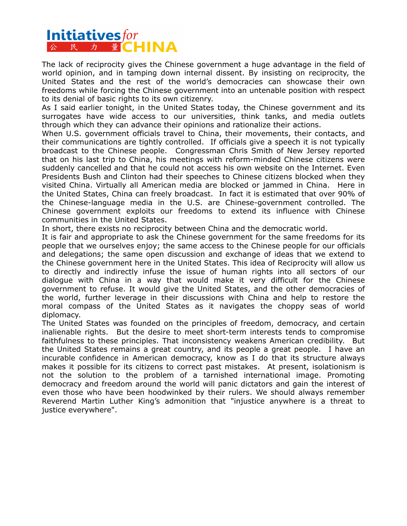### **Initiativesfor** 公 民 力 量CHINA

The lack of reciprocity gives the Chinese government a huge advantage in the field of world opinion, and in tamping down internal dissent. By insisting on reciprocity, the United States and the rest of the world's democracies can showcase their own freedoms while forcing the Chinese government into an untenable position with respect to its denial of basic rights to its own citizenry.

As I said earlier tonight, in the United States today, the Chinese government and its surrogates have wide access to our universities, think tanks, and media outlets through which they can advance their opinions and rationalize their actions.

When U.S. government officials travel to China, their movements, their contacts, and their communications are tightly controlled. If officials give a speech it is not typically broadcast to the Chinese people. Congressman Chris Smith of New Jersey reported that on his last trip to China, his meetings with reform-minded Chinese citizens were suddenly cancelled and that he could not access his own website on the Internet. Even Presidents Bush and Clinton had their speeches to Chinese citizens blocked when they visited China. Virtually all American media are blocked or jammed in China. Here in the United States, China can freely broadcast. In fact it is estimated that over 90% of the Chinese-language media in the U.S. are Chinese-government controlled. The Chinese government exploits our freedoms to extend its influence with Chinese communities in the United States.

In short, there exists no reciprocity between China and the democratic world.

It is fair and appropriate to ask the Chinese government for the same freedoms for its people that we ourselves enjoy; the same access to the Chinese people for our officials and delegations; the same open discussion and exchange of ideas that we extend to the Chinese government here in the United States. This idea of Reciprocity will allow us to directly and indirectly infuse the issue of human rights into all sectors of our dialogue with China in a way that would make it very difficult for the Chinese government to refuse. It would give the United States, and the other democracies of the world, further leverage in their discussions with China and help to restore the moral compass of the United States as it navigates the choppy seas of world diplomacy.

The United States was founded on the principles of freedom, democracy, and certain inalienable rights. But the desire to meet short-term interests tends to compromise faithfulness to these principles. That inconsistency weakens American credibility. But the United States remains a great country, and its people a great people. I have an incurable confidence in American democracy, know as I do that its structure always makes it possible for its citizens to correct past mistakes. At present, isolationism is not the solution to the problem of a tarnished international image. Promoting democracy and freedom around the world will panic dictators and gain the interest of even those who have been hoodwinked by their rulers. We should always remember Reverend Martin Luther King's admonition that "injustice anywhere is a threat to justice everywhere".